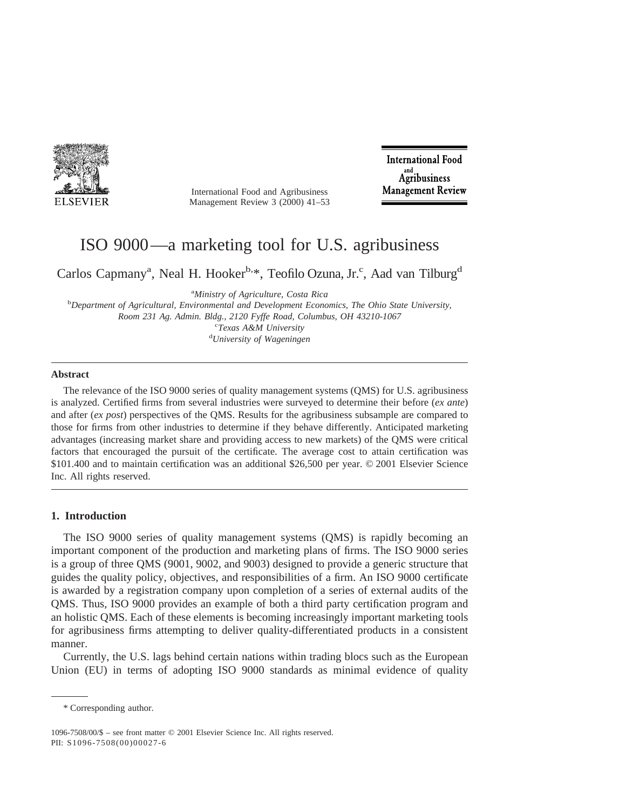

International Food and Agribusiness Management Review 3 (2000) 41–53

**International Food** Agribusiness **Management Review** 

# ISO 9000—a marketing tool for U.S. agribusiness

Carlos Capmany<sup>a</sup>, Neal H. Hooker<sup>b,\*</sup>, Teofilo Ozuna, Jr.<sup>c</sup>, Aad van Tilburg<sup>d</sup>

<sup>a</sup>Ministry of Agriculture, Costa Rica

*Ministry of Agriculture, Costa Rica* <sup>b</sup> *Department of Agricultural, Environmental and Development Economics, The Ohio State University, Room 231 Ag. Admin. Bldg., 2120 Fyffe Road, Columbus, OH 43210-1067* <sup>c</sup> <sup>c</sup>Texas A&M University *University of Wageningen*

#### **Abstract**

The relevance of the ISO 9000 series of quality management systems (QMS) for U.S. agribusiness is analyzed. Certified firms from several industries were surveyed to determine their before (*ex ante*) and after (*ex post*) perspectives of the QMS. Results for the agribusiness subsample are compared to those for firms from other industries to determine if they behave differently. Anticipated marketing advantages (increasing market share and providing access to new markets) of the QMS were critical factors that encouraged the pursuit of the certificate. The average cost to attain certification was \$101.400 and to maintain certification was an additional \$26,500 per year. © 2001 Elsevier Science Inc. All rights reserved.

# **1. Introduction**

The ISO 9000 series of quality management systems (QMS) is rapidly becoming an important component of the production and marketing plans of firms. The ISO 9000 series is a group of three QMS (9001, 9002, and 9003) designed to provide a generic structure that guides the quality policy, objectives, and responsibilities of a firm. An ISO 9000 certificate is awarded by a registration company upon completion of a series of external audits of the QMS. Thus, ISO 9000 provides an example of both a third party certification program and an holistic QMS. Each of these elements is becoming increasingly important marketing tools for agribusiness firms attempting to deliver quality-differentiated products in a consistent manner.

Currently, the U.S. lags behind certain nations within trading blocs such as the European Union (EU) in terms of adopting ISO 9000 standards as minimal evidence of quality

<sup>\*</sup> Corresponding author.

<sup>1096-7508/00/\$ –</sup> see front matter © 2001 Elsevier Science Inc. All rights reserved. PII: S1096-7508(00)00027-6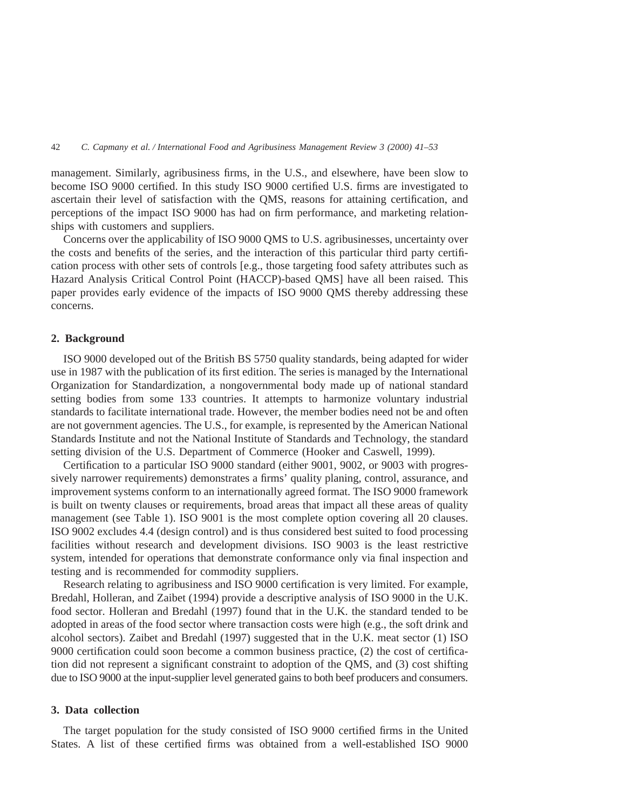management. Similarly, agribusiness firms, in the U.S., and elsewhere, have been slow to become ISO 9000 certified. In this study ISO 9000 certified U.S. firms are investigated to ascertain their level of satisfaction with the QMS, reasons for attaining certification, and perceptions of the impact ISO 9000 has had on firm performance, and marketing relationships with customers and suppliers.

Concerns over the applicability of ISO 9000 QMS to U.S. agribusinesses, uncertainty over the costs and benefits of the series, and the interaction of this particular third party certification process with other sets of controls [e.g., those targeting food safety attributes such as Hazard Analysis Critical Control Point (HACCP)-based QMS] have all been raised. This paper provides early evidence of the impacts of ISO 9000 QMS thereby addressing these concerns.

# **2. Background**

ISO 9000 developed out of the British BS 5750 quality standards, being adapted for wider use in 1987 with the publication of its first edition. The series is managed by the International Organization for Standardization, a nongovernmental body made up of national standard setting bodies from some 133 countries. It attempts to harmonize voluntary industrial standards to facilitate international trade. However, the member bodies need not be and often are not government agencies. The U.S., for example, is represented by the American National Standards Institute and not the National Institute of Standards and Technology, the standard setting division of the U.S. Department of Commerce (Hooker and Caswell, 1999).

Certification to a particular ISO 9000 standard (either 9001, 9002, or 9003 with progressively narrower requirements) demonstrates a firms' quality planing, control, assurance, and improvement systems conform to an internationally agreed format. The ISO 9000 framework is built on twenty clauses or requirements, broad areas that impact all these areas of quality management (see Table 1). ISO 9001 is the most complete option covering all 20 clauses. ISO 9002 excludes 4.4 (design control) and is thus considered best suited to food processing facilities without research and development divisions. ISO 9003 is the least restrictive system, intended for operations that demonstrate conformance only via final inspection and testing and is recommended for commodity suppliers.

Research relating to agribusiness and ISO 9000 certification is very limited. For example, Bredahl, Holleran, and Zaibet (1994) provide a descriptive analysis of ISO 9000 in the U.K. food sector. Holleran and Bredahl (1997) found that in the U.K. the standard tended to be adopted in areas of the food sector where transaction costs were high (e.g., the soft drink and alcohol sectors). Zaibet and Bredahl (1997) suggested that in the U.K. meat sector (1) ISO 9000 certification could soon become a common business practice, (2) the cost of certification did not represent a significant constraint to adoption of the QMS, and (3) cost shifting due to ISO 9000 at the input-supplier level generated gains to both beef producers and consumers.

## **3. Data collection**

The target population for the study consisted of ISO 9000 certified firms in the United States. A list of these certified firms was obtained from a well-established ISO 9000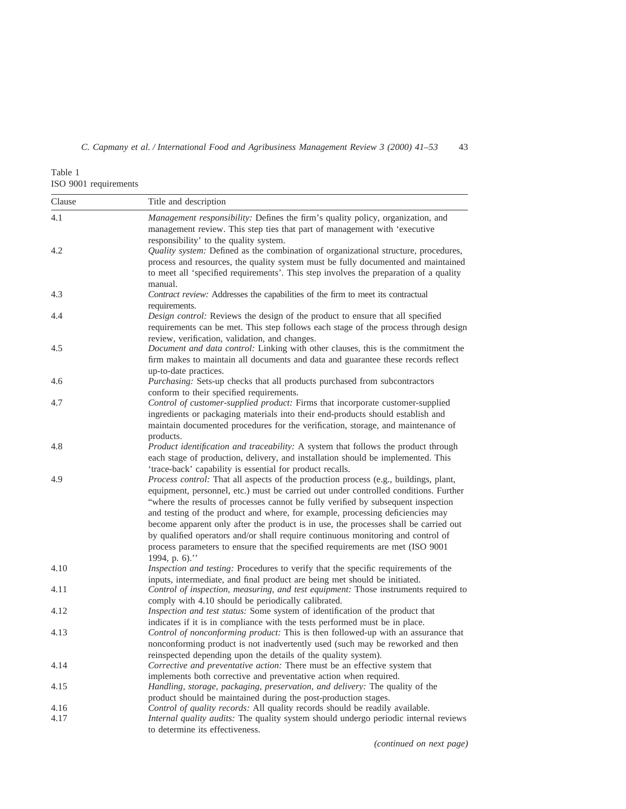Table 1 ISO 9001 requirements

| Clause       | Title and description                                                                                                                                                                                                                                                                                                                                                                                                                                                                                                                                                                                                                                                                           |
|--------------|-------------------------------------------------------------------------------------------------------------------------------------------------------------------------------------------------------------------------------------------------------------------------------------------------------------------------------------------------------------------------------------------------------------------------------------------------------------------------------------------------------------------------------------------------------------------------------------------------------------------------------------------------------------------------------------------------|
| 4.1          | Management responsibility: Defines the firm's quality policy, organization, and<br>management review. This step ties that part of management with 'executive                                                                                                                                                                                                                                                                                                                                                                                                                                                                                                                                    |
| 4.2          | responsibility' to the quality system.<br>Quality system: Defined as the combination of organizational structure, procedures,<br>process and resources, the quality system must be fully documented and maintained<br>to meet all 'specified requirements'. This step involves the preparation of a quality                                                                                                                                                                                                                                                                                                                                                                                     |
| 4.3          | manual.<br>Contract review: Addresses the capabilities of the firm to meet its contractual                                                                                                                                                                                                                                                                                                                                                                                                                                                                                                                                                                                                      |
| 4.4          | requirements.<br>Design control: Reviews the design of the product to ensure that all specified<br>requirements can be met. This step follows each stage of the process through design                                                                                                                                                                                                                                                                                                                                                                                                                                                                                                          |
| 4.5          | review, verification, validation, and changes.<br>Document and data control: Linking with other clauses, this is the commitment the<br>firm makes to maintain all documents and data and guarantee these records reflect                                                                                                                                                                                                                                                                                                                                                                                                                                                                        |
| 4.6          | up-to-date practices.<br>Purchasing: Sets-up checks that all products purchased from subcontractors<br>conform to their specified requirements.                                                                                                                                                                                                                                                                                                                                                                                                                                                                                                                                                 |
| 4.7          | Control of customer-supplied product: Firms that incorporate customer-supplied<br>ingredients or packaging materials into their end-products should establish and<br>maintain documented procedures for the verification, storage, and maintenance of                                                                                                                                                                                                                                                                                                                                                                                                                                           |
| 4.8          | products.<br>Product identification and traceability: A system that follows the product through<br>each stage of production, delivery, and installation should be implemented. This                                                                                                                                                                                                                                                                                                                                                                                                                                                                                                             |
| 4.9          | 'trace-back' capability is essential for product recalls.<br>Process control: That all aspects of the production process (e.g., buildings, plant,<br>equipment, personnel, etc.) must be carried out under controlled conditions. Further<br>"where the results of processes cannot be fully verified by subsequent inspection<br>and testing of the product and where, for example, processing deficiencies may<br>become apparent only after the product is in use, the processes shall be carried out<br>by qualified operators and/or shall require continuous monitoring and control of<br>process parameters to ensure that the specified requirements are met (ISO 9001<br>1994, p. 6)." |
| 4.10         | Inspection and testing: Procedures to verify that the specific requirements of the<br>inputs, intermediate, and final product are being met should be initiated.                                                                                                                                                                                                                                                                                                                                                                                                                                                                                                                                |
| 4.11         | Control of inspection, measuring, and test equipment: Those instruments required to<br>comply with 4.10 should be periodically calibrated.                                                                                                                                                                                                                                                                                                                                                                                                                                                                                                                                                      |
| 4.12         | Inspection and test status: Some system of identification of the product that<br>indicates if it is in compliance with the tests performed must be in place.                                                                                                                                                                                                                                                                                                                                                                                                                                                                                                                                    |
| 4.13         | Control of nonconforming product: This is then followed-up with an assurance that<br>nonconforming product is not inadvertently used (such may be reworked and then                                                                                                                                                                                                                                                                                                                                                                                                                                                                                                                             |
| 4.14         | reinspected depending upon the details of the quality system).<br>Corrective and preventative action: There must be an effective system that<br>implements both corrective and preventative action when required.                                                                                                                                                                                                                                                                                                                                                                                                                                                                               |
| 4.15         | Handling, storage, packaging, preservation, and delivery: The quality of the<br>product should be maintained during the post-production stages.                                                                                                                                                                                                                                                                                                                                                                                                                                                                                                                                                 |
| 4.16<br>4.17 | Control of quality records: All quality records should be readily available.<br>Internal quality audits: The quality system should undergo periodic internal reviews<br>to determine its effectiveness.                                                                                                                                                                                                                                                                                                                                                                                                                                                                                         |

*(continued on next page)*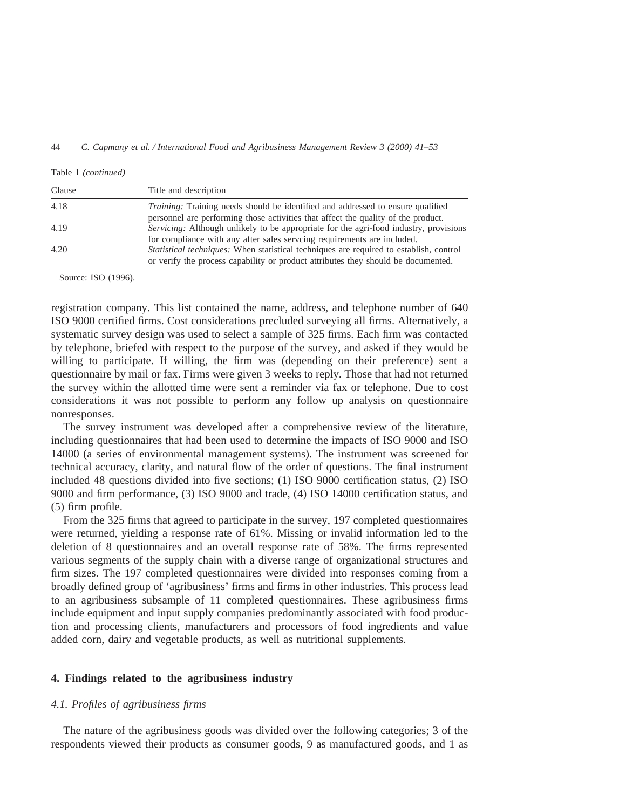| Clause | Title and description                                                                         |
|--------|-----------------------------------------------------------------------------------------------|
| 4.18   | <i>Training:</i> Training needs should be identified and addressed to ensure qualified        |
|        | personnel are performing those activities that affect the quality of the product.             |
| 4.19   | <i>Servicing:</i> Although unlikely to be appropriate for the agri-food industry, provisions  |
|        | for compliance with any after sales servering requirements are included.                      |
| 4.20   | <i>Statistical techniques:</i> When statistical techniques are required to establish, control |
|        | or verify the process capability or product attributes they should be documented.             |

Table 1 *(continued)*

Source: ISO (1996).

registration company. This list contained the name, address, and telephone number of 640 ISO 9000 certified firms. Cost considerations precluded surveying all firms. Alternatively, a systematic survey design was used to select a sample of 325 firms. Each firm was contacted by telephone, briefed with respect to the purpose of the survey, and asked if they would be willing to participate. If willing, the firm was (depending on their preference) sent a questionnaire by mail or fax. Firms were given 3 weeks to reply. Those that had not returned the survey within the allotted time were sent a reminder via fax or telephone. Due to cost considerations it was not possible to perform any follow up analysis on questionnaire nonresponses.

The survey instrument was developed after a comprehensive review of the literature, including questionnaires that had been used to determine the impacts of ISO 9000 and ISO 14000 (a series of environmental management systems). The instrument was screened for technical accuracy, clarity, and natural flow of the order of questions. The final instrument included 48 questions divided into five sections; (1) ISO 9000 certification status, (2) ISO 9000 and firm performance, (3) ISO 9000 and trade, (4) ISO 14000 certification status, and (5) firm profile.

From the 325 firms that agreed to participate in the survey, 197 completed questionnaires were returned, yielding a response rate of 61%. Missing or invalid information led to the deletion of 8 questionnaires and an overall response rate of 58%. The firms represented various segments of the supply chain with a diverse range of organizational structures and firm sizes. The 197 completed questionnaires were divided into responses coming from a broadly defined group of 'agribusiness' firms and firms in other industries. This process lead to an agribusiness subsample of 11 completed questionnaires. These agribusiness firms include equipment and input supply companies predominantly associated with food production and processing clients, manufacturers and processors of food ingredients and value added corn, dairy and vegetable products, as well as nutritional supplements.

## **4. Findings related to the agribusiness industry**

# *4.1. Profiles of agribusiness firms*

The nature of the agribusiness goods was divided over the following categories; 3 of the respondents viewed their products as consumer goods, 9 as manufactured goods, and 1 as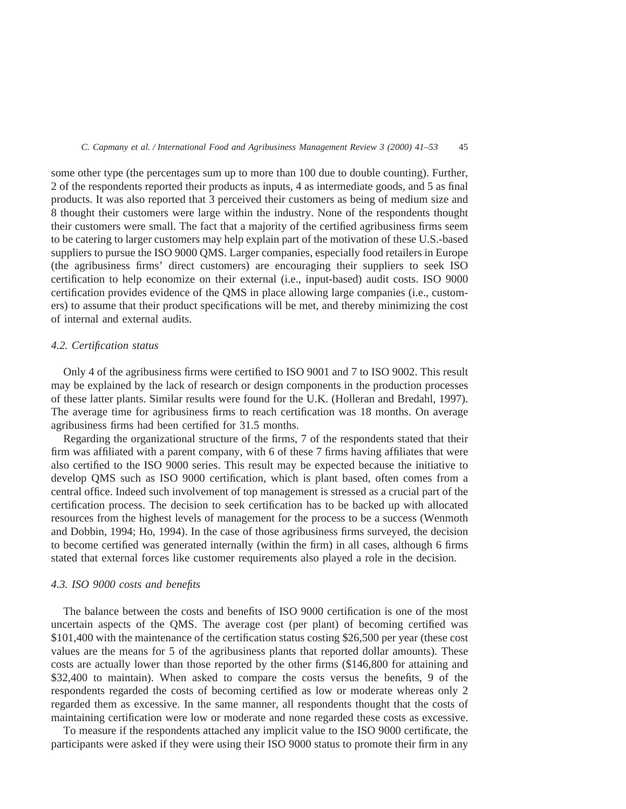some other type (the percentages sum up to more than 100 due to double counting). Further, 2 of the respondents reported their products as inputs, 4 as intermediate goods, and 5 as final products. It was also reported that 3 perceived their customers as being of medium size and 8 thought their customers were large within the industry. None of the respondents thought their customers were small. The fact that a majority of the certified agribusiness firms seem to be catering to larger customers may help explain part of the motivation of these U.S.-based suppliers to pursue the ISO 9000 QMS. Larger companies, especially food retailers in Europe (the agribusiness firms' direct customers) are encouraging their suppliers to seek ISO certification to help economize on their external (i.e., input-based) audit costs. ISO 9000 certification provides evidence of the QMS in place allowing large companies (i.e., customers) to assume that their product specifications will be met, and thereby minimizing the cost of internal and external audits.

#### *4.2. Certification status*

Only 4 of the agribusiness firms were certified to ISO 9001 and 7 to ISO 9002. This result may be explained by the lack of research or design components in the production processes of these latter plants. Similar results were found for the U.K. (Holleran and Bredahl, 1997). The average time for agribusiness firms to reach certification was 18 months. On average agribusiness firms had been certified for 31.5 months.

Regarding the organizational structure of the firms, 7 of the respondents stated that their firm was affiliated with a parent company, with 6 of these 7 firms having affiliates that were also certified to the ISO 9000 series. This result may be expected because the initiative to develop QMS such as ISO 9000 certification, which is plant based, often comes from a central office. Indeed such involvement of top management is stressed as a crucial part of the certification process. The decision to seek certification has to be backed up with allocated resources from the highest levels of management for the process to be a success (Wenmoth and Dobbin, 1994; Ho, 1994). In the case of those agribusiness firms surveyed, the decision to become certified was generated internally (within the firm) in all cases, although 6 firms stated that external forces like customer requirements also played a role in the decision.

#### *4.3. ISO 9000 costs and benefits*

The balance between the costs and benefits of ISO 9000 certification is one of the most uncertain aspects of the QMS. The average cost (per plant) of becoming certified was \$101,400 with the maintenance of the certification status costing \$26,500 per year (these cost values are the means for 5 of the agribusiness plants that reported dollar amounts). These costs are actually lower than those reported by the other firms (\$146,800 for attaining and \$32,400 to maintain). When asked to compare the costs versus the benefits, 9 of the respondents regarded the costs of becoming certified as low or moderate whereas only 2 regarded them as excessive. In the same manner, all respondents thought that the costs of maintaining certification were low or moderate and none regarded these costs as excessive.

To measure if the respondents attached any implicit value to the ISO 9000 certificate, the participants were asked if they were using their ISO 9000 status to promote their firm in any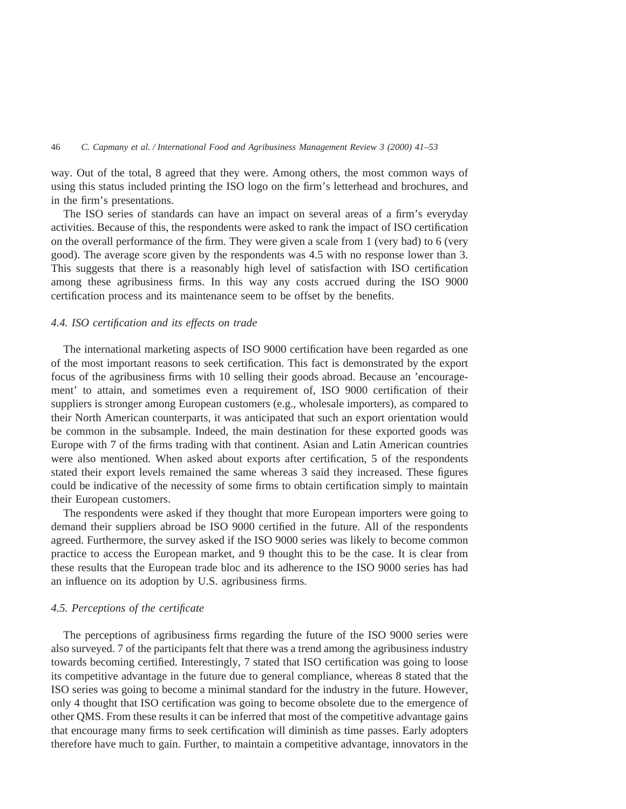way. Out of the total, 8 agreed that they were. Among others, the most common ways of using this status included printing the ISO logo on the firm's letterhead and brochures, and in the firm's presentations.

The ISO series of standards can have an impact on several areas of a firm's everyday activities. Because of this, the respondents were asked to rank the impact of ISO certification on the overall performance of the firm. They were given a scale from 1 (very bad) to 6 (very good). The average score given by the respondents was 4.5 with no response lower than 3. This suggests that there is a reasonably high level of satisfaction with ISO certification among these agribusiness firms. In this way any costs accrued during the ISO 9000 certification process and its maintenance seem to be offset by the benefits.

## *4.4. ISO certification and its effects on trade*

The international marketing aspects of ISO 9000 certification have been regarded as one of the most important reasons to seek certification. This fact is demonstrated by the export focus of the agribusiness firms with 10 selling their goods abroad. Because an 'encouragement' to attain, and sometimes even a requirement of, ISO 9000 certification of their suppliers is stronger among European customers (e.g., wholesale importers), as compared to their North American counterparts, it was anticipated that such an export orientation would be common in the subsample. Indeed, the main destination for these exported goods was Europe with 7 of the firms trading with that continent. Asian and Latin American countries were also mentioned. When asked about exports after certification, 5 of the respondents stated their export levels remained the same whereas 3 said they increased. These figures could be indicative of the necessity of some firms to obtain certification simply to maintain their European customers.

The respondents were asked if they thought that more European importers were going to demand their suppliers abroad be ISO 9000 certified in the future. All of the respondents agreed. Furthermore, the survey asked if the ISO 9000 series was likely to become common practice to access the European market, and 9 thought this to be the case. It is clear from these results that the European trade bloc and its adherence to the ISO 9000 series has had an influence on its adoption by U.S. agribusiness firms.

## *4.5. Perceptions of the certificate*

The perceptions of agribusiness firms regarding the future of the ISO 9000 series were also surveyed. 7 of the participants felt that there was a trend among the agribusiness industry towards becoming certified. Interestingly, 7 stated that ISO certification was going to loose its competitive advantage in the future due to general compliance, whereas 8 stated that the ISO series was going to become a minimal standard for the industry in the future. However, only 4 thought that ISO certification was going to become obsolete due to the emergence of other QMS. From these results it can be inferred that most of the competitive advantage gains that encourage many firms to seek certification will diminish as time passes. Early adopters therefore have much to gain. Further, to maintain a competitive advantage, innovators in the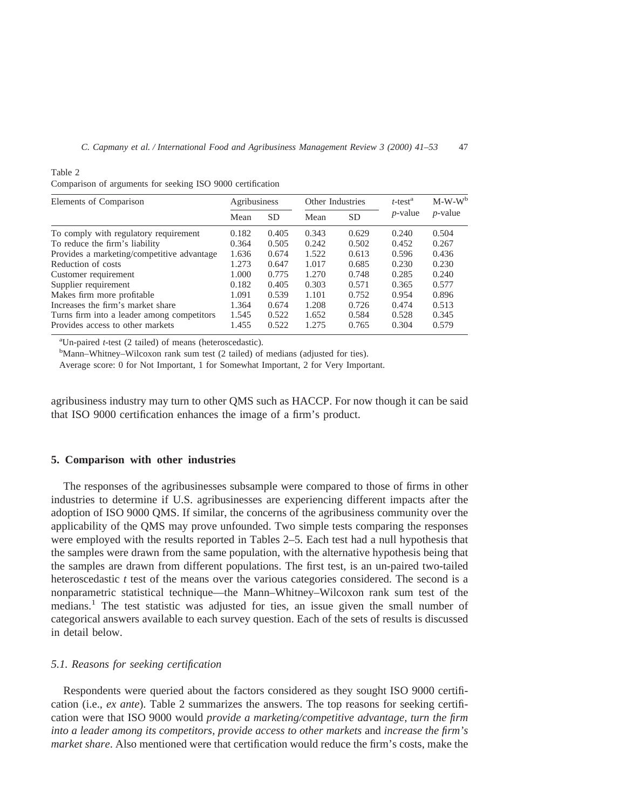| Elements of Comparison                     | Agribusiness |           | Other Industries |       | $t$ -test <sup>a</sup> | $M-W-W^b$  |
|--------------------------------------------|--------------|-----------|------------------|-------|------------------------|------------|
|                                            | Mean         | <b>SD</b> | Mean             | SD    | $p$ -value             | $p$ -value |
| To comply with regulatory requirement      | 0.182        | 0.405     | 0.343            | 0.629 | 0.240                  | 0.504      |
| To reduce the firm's liability             | 0.364        | 0.505     | 0.242            | 0.502 | 0.452                  | 0.267      |
| Provides a marketing/competitive advantage | 1.636        | 0.674     | 1.522            | 0.613 | 0.596                  | 0.436      |
| Reduction of costs                         | 1.273        | 0.647     | 1.017            | 0.685 | 0.230                  | 0.230      |
| Customer requirement                       | 1.000        | 0.775     | 1.270            | 0.748 | 0.285                  | 0.240      |
| Supplier requirement                       | 0.182        | 0.405     | 0.303            | 0.571 | 0.365                  | 0.577      |
| Makes firm more profitable                 | 1.091        | 0.539     | 1.101            | 0.752 | 0.954                  | 0.896      |
| Increases the firm's market share          | 1.364        | 0.674     | 1.208            | 0.726 | 0.474                  | 0.513      |
| Turns firm into a leader among competitors | 1.545        | 0.522     | 1.652            | 0.584 | 0.528                  | 0.345      |
| Provides access to other markets           | 1.455        | 0.522     | 1.275            | 0.765 | 0.304                  | 0.579      |

| Comparison of arguments for seeking ISO 9000 certification |  |  |  |  |  |  |  |
|------------------------------------------------------------|--|--|--|--|--|--|--|
|------------------------------------------------------------|--|--|--|--|--|--|--|

Table 2

<sup>a</sup>Un-paired *t*-test (2 tailed) of means (heteroscedastic).

Mann–Whitney–Wilcoxon rank sum test (2 tailed) of medians (adjusted for ties).

Average score: 0 for Not Important, 1 for Somewhat Important, 2 for Very Important.

agribusiness industry may turn to other QMS such as HACCP. For now though it can be said that ISO 9000 certification enhances the image of a firm's product.

### **5. Comparison with other industries**

The responses of the agribusinesses subsample were compared to those of firms in other industries to determine if U.S. agribusinesses are experiencing different impacts after the adoption of ISO 9000 QMS. If similar, the concerns of the agribusiness community over the applicability of the QMS may prove unfounded. Two simple tests comparing the responses were employed with the results reported in Tables 2–5. Each test had a null hypothesis that the samples were drawn from the same population, with the alternative hypothesis being that the samples are drawn from different populations. The first test, is an un-paired two-tailed heteroscedastic *t* test of the means over the various categories considered. The second is a nonparametric statistical technique—the Mann–Whitney–Wilcoxon rank sum test of the medians.<sup>1</sup> The test statistic was adjusted for ties, an issue given the small number of categorical answers available to each survey question. Each of the sets of results is discussed in detail below.

## *5.1. Reasons for seeking certification*

Respondents were queried about the factors considered as they sought ISO 9000 certification (i.e., *ex ante*). Table 2 summarizes the answers. The top reasons for seeking certification were that ISO 9000 would *provide a marketing/competitive advantage, turn the firm into a leader among its competitors, provide access to other markets* and *increase the firm's market share*. Also mentioned were that certification would reduce the firm's costs, make the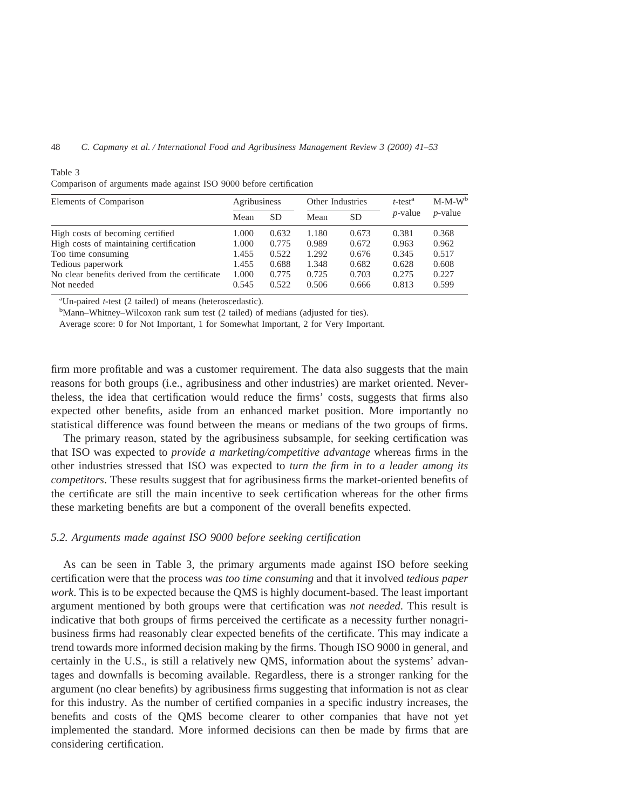| Elements of Comparison                         | Agribusiness |           | Other Industries |           | $t$ -test <sup>a</sup> | $M-M-W^b$  |
|------------------------------------------------|--------------|-----------|------------------|-----------|------------------------|------------|
|                                                | Mean         | <b>SD</b> | Mean             | <b>SD</b> | $p$ -value             | $p$ -value |
| High costs of becoming certified               | 1.000        | 0.632     | 1.180            | 0.673     | 0.381                  | 0.368      |
| High costs of maintaining certification        | 1.000        | 0.775     | 0.989            | 0.672     | 0.963                  | 0.962      |
| Too time consuming                             | 1.455        | 0.522     | 1.292            | 0.676     | 0.345                  | 0.517      |
| Tedious paperwork                              | 1.455        | 0.688     | 1.348            | 0.682     | 0.628                  | 0.608      |
| No clear benefits derived from the certificate | 1.000        | 0.775     | 0.725            | 0.703     | 0.275                  | 0.227      |
| Not needed                                     | 0.545        | 0.522     | 0.506            | 0.666     | 0.813                  | 0.599      |

Table 3

|  |  |  |  | Comparison of arguments made against ISO 9000 before certification |
|--|--|--|--|--------------------------------------------------------------------|
|  |  |  |  |                                                                    |

<sup>a</sup>Un-paired *t*-test (2 tailed) of means (heteroscedastic).

Mann–Whitney–Wilcoxon rank sum test (2 tailed) of medians (adjusted for ties).

Average score: 0 for Not Important, 1 for Somewhat Important, 2 for Very Important.

firm more profitable and was a customer requirement. The data also suggests that the main reasons for both groups (i.e., agribusiness and other industries) are market oriented. Nevertheless, the idea that certification would reduce the firms' costs, suggests that firms also expected other benefits, aside from an enhanced market position. More importantly no statistical difference was found between the means or medians of the two groups of firms.

The primary reason, stated by the agribusiness subsample, for seeking certification was that ISO was expected to *provide a marketing/competitive advantage* whereas firms in the other industries stressed that ISO was expected to *turn the firm in to a leader among its competitors*. These results suggest that for agribusiness firms the market-oriented benefits of the certificate are still the main incentive to seek certification whereas for the other firms these marketing benefits are but a component of the overall benefits expected.

# *5.2. Arguments made against ISO 9000 before seeking certification*

As can be seen in Table 3, the primary arguments made against ISO before seeking certification were that the process *was too time consuming* and that it involved *tedious paper work*. This is to be expected because the QMS is highly document-based. The least important argument mentioned by both groups were that certification was *not needed*. This result is indicative that both groups of firms perceived the certificate as a necessity further nonagribusiness firms had reasonably clear expected benefits of the certificate. This may indicate a trend towards more informed decision making by the firms. Though ISO 9000 in general, and certainly in the U.S., is still a relatively new QMS, information about the systems' advantages and downfalls is becoming available. Regardless, there is a stronger ranking for the argument (no clear benefits) by agribusiness firms suggesting that information is not as clear for this industry. As the number of certified companies in a specific industry increases, the benefits and costs of the QMS become clearer to other companies that have not yet implemented the standard. More informed decisions can then be made by firms that are considering certification.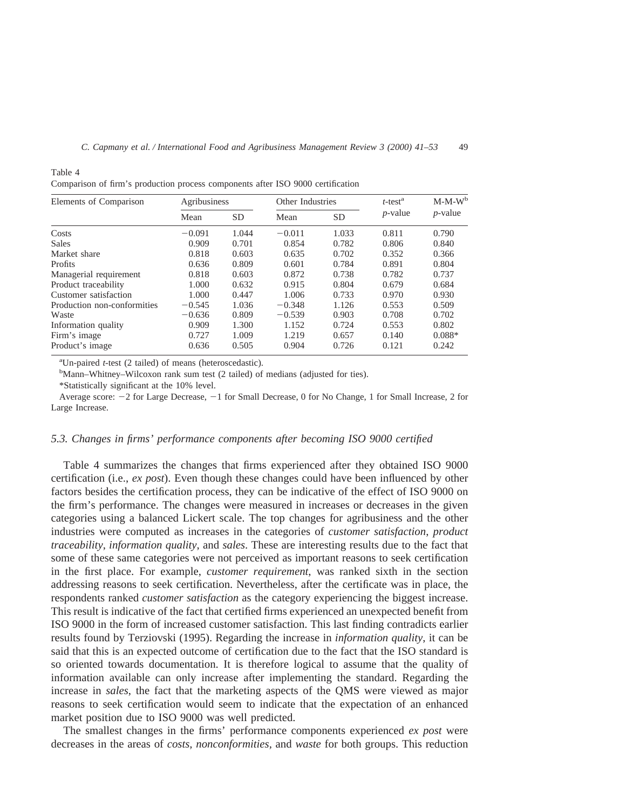| Elements of Comparison      | Agribusiness |       | Other Industries |           | $t$ -test <sup>a</sup> | $M-M-W^b$  |
|-----------------------------|--------------|-------|------------------|-----------|------------------------|------------|
|                             | Mean         | SD.   | Mean             | <b>SD</b> | $p$ -value             | $p$ -value |
| Costs                       | $-0.091$     | 1.044 | $-0.011$         | 1.033     | 0.811                  | 0.790      |
| <b>Sales</b>                | 0.909        | 0.701 | 0.854            | 0.782     | 0.806                  | 0.840      |
| Market share                | 0.818        | 0.603 | 0.635            | 0.702     | 0.352                  | 0.366      |
| Profits                     | 0.636        | 0.809 | 0.601            | 0.784     | 0.891                  | 0.804      |
| Managerial requirement      | 0.818        | 0.603 | 0.872            | 0.738     | 0.782                  | 0.737      |
| Product traceability        | 1.000        | 0.632 | 0.915            | 0.804     | 0.679                  | 0.684      |
| Customer satisfaction       | 1.000        | 0.447 | 1.006            | 0.733     | 0.970                  | 0.930      |
| Production non-conformities | $-0.545$     | 1.036 | $-0.348$         | 1.126     | 0.553                  | 0.509      |
| Waste                       | $-0.636$     | 0.809 | $-0.539$         | 0.903     | 0.708                  | 0.702      |
| Information quality         | 0.909        | 1.300 | 1.152            | 0.724     | 0.553                  | 0.802      |
| Firm's image                | 0.727        | 1.009 | 1.219            | 0.657     | 0.140                  | $0.088*$   |
| Product's image             | 0.636        | 0.505 | 0.904            | 0.726     | 0.121                  | 0.242      |

Table 4

Comparison of firm's production process components after ISO 9000 certification

<sup>a</sup>Un-paired *t*-test (2 tailed) of means (heteroscedastic).

 $\mathrm{Mann-Whitney-Wilcoxon}$  rank sum test (2 tailed) of medians (adjusted for ties).

\*Statistically significant at the 10% level.

Average score:  $-2$  for Large Decrease,  $-1$  for Small Decrease, 0 for No Change, 1 for Small Increase, 2 for Large Increase.

## *5.3. Changes in firms' performance components after becoming ISO 9000 certified*

Table 4 summarizes the changes that firms experienced after they obtained ISO 9000 certification (i.e., *ex post*). Even though these changes could have been influenced by other factors besides the certification process, they can be indicative of the effect of ISO 9000 on the firm's performance. The changes were measured in increases or decreases in the given categories using a balanced Lickert scale. The top changes for agribusiness and the other industries were computed as increases in the categories of *customer satisfaction*, *product traceability*, *information quality*, and *sales*. These are interesting results due to the fact that some of these same categories were not perceived as important reasons to seek certification in the first place. For example, *customer requirement*, was ranked sixth in the section addressing reasons to seek certification. Nevertheless, after the certificate was in place, the respondents ranked *customer satisfaction* as the category experiencing the biggest increase. This result is indicative of the fact that certified firms experienced an unexpected benefit from ISO 9000 in the form of increased customer satisfaction. This last finding contradicts earlier results found by Terziovski (1995). Regarding the increase in *information quality*, it can be said that this is an expected outcome of certification due to the fact that the ISO standard is so oriented towards documentation. It is therefore logical to assume that the quality of information available can only increase after implementing the standard. Regarding the increase in *sales*, the fact that the marketing aspects of the QMS were viewed as major reasons to seek certification would seem to indicate that the expectation of an enhanced market position due to ISO 9000 was well predicted.

The smallest changes in the firms' performance components experienced *ex post* were decreases in the areas of *costs, nonconformities,* and *waste* for both groups. This reduction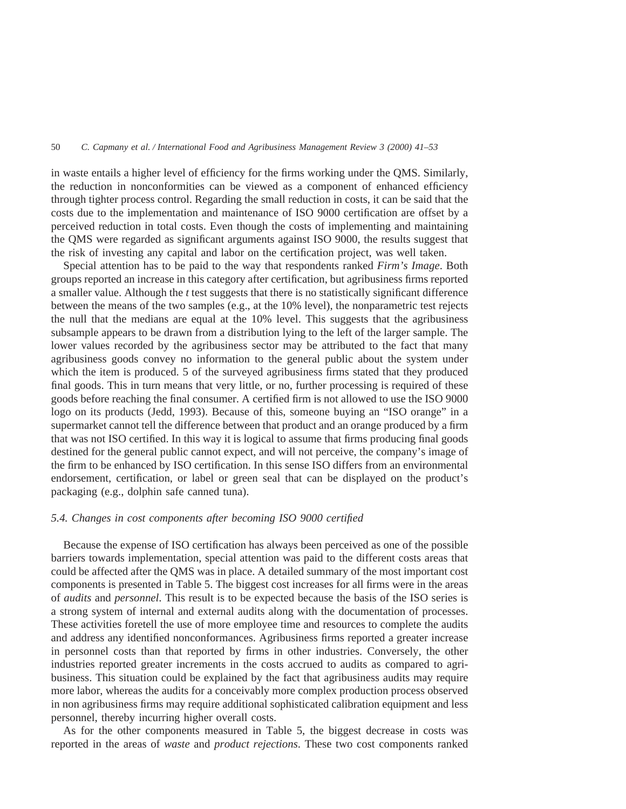50 *C. Capmany et al. / International Food and Agribusiness Management Review 3 (2000) 41–53*

in waste entails a higher level of efficiency for the firms working under the QMS. Similarly, the reduction in nonconformities can be viewed as a component of enhanced efficiency through tighter process control. Regarding the small reduction in costs, it can be said that the costs due to the implementation and maintenance of ISO 9000 certification are offset by a perceived reduction in total costs. Even though the costs of implementing and maintaining the QMS were regarded as significant arguments against ISO 9000, the results suggest that the risk of investing any capital and labor on the certification project, was well taken.

Special attention has to be paid to the way that respondents ranked *Firm's Image*. Both groups reported an increase in this category after certification, but agribusiness firms reported a smaller value. Although the *t* test suggests that there is no statistically significant difference between the means of the two samples (e.g., at the 10% level), the nonparametric test rejects the null that the medians are equal at the 10% level. This suggests that the agribusiness subsample appears to be drawn from a distribution lying to the left of the larger sample. The lower values recorded by the agribusiness sector may be attributed to the fact that many agribusiness goods convey no information to the general public about the system under which the item is produced. 5 of the surveyed agribusiness firms stated that they produced final goods. This in turn means that very little, or no, further processing is required of these goods before reaching the final consumer. A certified firm is not allowed to use the ISO 9000 logo on its products (Jedd, 1993). Because of this, someone buying an "ISO orange" in a supermarket cannot tell the difference between that product and an orange produced by a firm that was not ISO certified. In this way it is logical to assume that firms producing final goods destined for the general public cannot expect, and will not perceive, the company's image of the firm to be enhanced by ISO certification. In this sense ISO differs from an environmental endorsement, certification, or label or green seal that can be displayed on the product's packaging (e.g., dolphin safe canned tuna).

# *5.4. Changes in cost components after becoming ISO 9000 certified*

Because the expense of ISO certification has always been perceived as one of the possible barriers towards implementation, special attention was paid to the different costs areas that could be affected after the QMS was in place. A detailed summary of the most important cost components is presented in Table 5. The biggest cost increases for all firms were in the areas of *audits* and *personnel*. This result is to be expected because the basis of the ISO series is a strong system of internal and external audits along with the documentation of processes. These activities foretell the use of more employee time and resources to complete the audits and address any identified nonconformances. Agribusiness firms reported a greater increase in personnel costs than that reported by firms in other industries. Conversely, the other industries reported greater increments in the costs accrued to audits as compared to agribusiness. This situation could be explained by the fact that agribusiness audits may require more labor, whereas the audits for a conceivably more complex production process observed in non agribusiness firms may require additional sophisticated calibration equipment and less personnel, thereby incurring higher overall costs.

As for the other components measured in Table 5, the biggest decrease in costs was reported in the areas of *waste* and *product rejections*. These two cost components ranked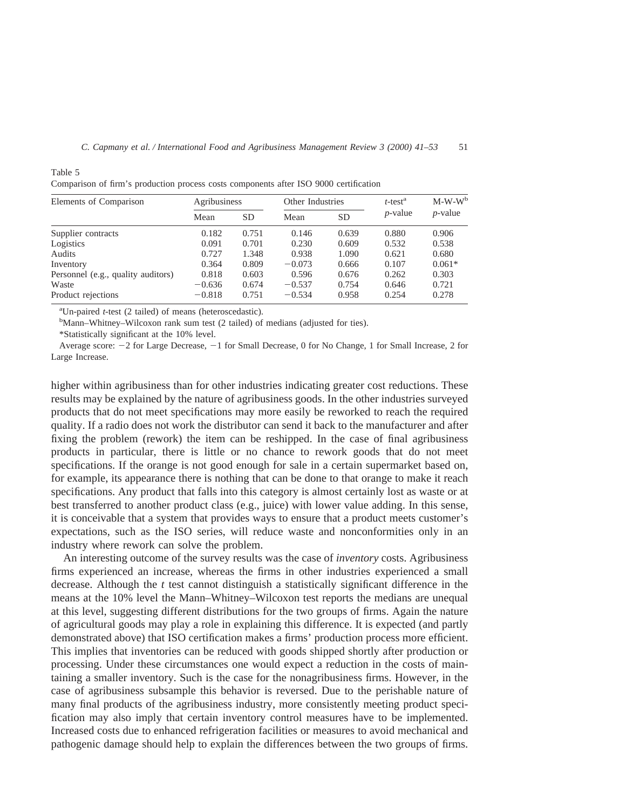| Elements of Comparison             | Agribusiness |           | Other Industries |           | $t$ -test <sup>a</sup> | $M-W-W^b$  |
|------------------------------------|--------------|-----------|------------------|-----------|------------------------|------------|
|                                    | Mean         | <b>SD</b> | Mean             | <b>SD</b> | $p$ -value             | $p$ -value |
| Supplier contracts                 | 0.182        | 0.751     | 0.146            | 0.639     | 0.880                  | 0.906      |
| Logistics                          | 0.091        | 0.701     | 0.230            | 0.609     | 0.532                  | 0.538      |
| Audits                             | 0.727        | 1.348     | 0.938            | 1.090     | 0.621                  | 0.680      |
| Inventory                          | 0.364        | 0.809     | $-0.073$         | 0.666     | 0.107                  | $0.061*$   |
| Personnel (e.g., quality auditors) | 0.818        | 0.603     | 0.596            | 0.676     | 0.262                  | 0.303      |
| Waste                              | $-0.636$     | 0.674     | $-0.537$         | 0.754     | 0.646                  | 0.721      |
| Product rejections                 | $-0.818$     | 0.751     | $-0.534$         | 0.958     | 0.254                  | 0.278      |

Comparison of firm's production process costs components after ISO 9000 certification

<sup>a</sup>Un-paired *t*-test (2 tailed) of means (heteroscedastic).

<sup>b</sup>Mann–Whitney–Wilcoxon rank sum test (2 tailed) of medians (adjusted for ties).

\*Statistically significant at the 10% level.

Table 5

Average score: 22 for Large Decrease, 21 for Small Decrease, 0 for No Change, 1 for Small Increase, 2 for Large Increase.

higher within agribusiness than for other industries indicating greater cost reductions. These results may be explained by the nature of agribusiness goods. In the other industries surveyed products that do not meet specifications may more easily be reworked to reach the required quality. If a radio does not work the distributor can send it back to the manufacturer and after fixing the problem (rework) the item can be reshipped. In the case of final agribusiness products in particular, there is little or no chance to rework goods that do not meet specifications. If the orange is not good enough for sale in a certain supermarket based on, for example, its appearance there is nothing that can be done to that orange to make it reach specifications. Any product that falls into this category is almost certainly lost as waste or at best transferred to another product class (e.g., juice) with lower value adding. In this sense, it is conceivable that a system that provides ways to ensure that a product meets customer's expectations, such as the ISO series, will reduce waste and nonconformities only in an industry where rework can solve the problem.

An interesting outcome of the survey results was the case of *inventory* costs. Agribusiness firms experienced an increase, whereas the firms in other industries experienced a small decrease. Although the *t* test cannot distinguish a statistically significant difference in the means at the 10% level the Mann–Whitney–Wilcoxon test reports the medians are unequal at this level, suggesting different distributions for the two groups of firms. Again the nature of agricultural goods may play a role in explaining this difference. It is expected (and partly demonstrated above) that ISO certification makes a firms' production process more efficient. This implies that inventories can be reduced with goods shipped shortly after production or processing. Under these circumstances one would expect a reduction in the costs of maintaining a smaller inventory. Such is the case for the nonagribusiness firms. However, in the case of agribusiness subsample this behavior is reversed. Due to the perishable nature of many final products of the agribusiness industry, more consistently meeting product specification may also imply that certain inventory control measures have to be implemented. Increased costs due to enhanced refrigeration facilities or measures to avoid mechanical and pathogenic damage should help to explain the differences between the two groups of firms.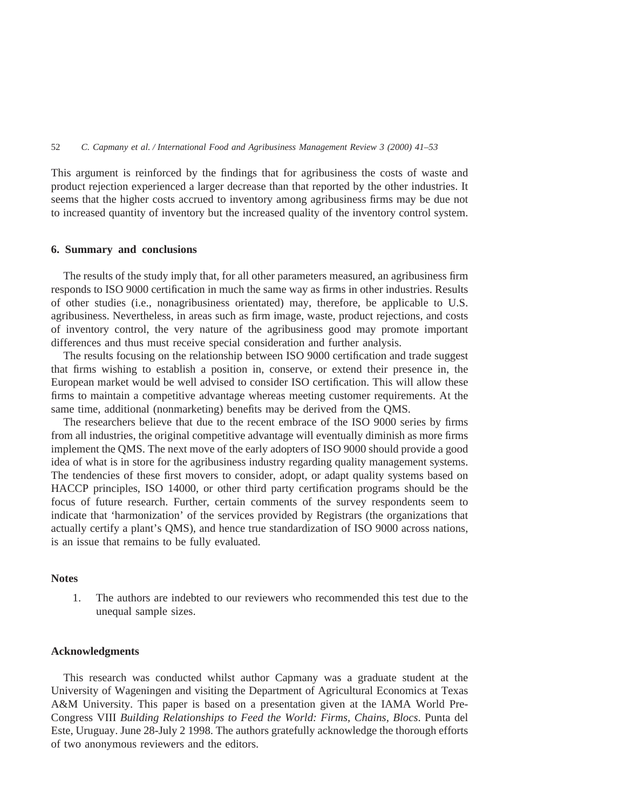This argument is reinforced by the findings that for agribusiness the costs of waste and product rejection experienced a larger decrease than that reported by the other industries. It seems that the higher costs accrued to inventory among agribusiness firms may be due not to increased quantity of inventory but the increased quality of the inventory control system.

# **6. Summary and conclusions**

The results of the study imply that, for all other parameters measured, an agribusiness firm responds to ISO 9000 certification in much the same way as firms in other industries. Results of other studies (i.e., nonagribusiness orientated) may, therefore, be applicable to U.S. agribusiness. Nevertheless, in areas such as firm image, waste, product rejections, and costs of inventory control, the very nature of the agribusiness good may promote important differences and thus must receive special consideration and further analysis.

The results focusing on the relationship between ISO 9000 certification and trade suggest that firms wishing to establish a position in, conserve, or extend their presence in, the European market would be well advised to consider ISO certification. This will allow these firms to maintain a competitive advantage whereas meeting customer requirements. At the same time, additional (nonmarketing) benefits may be derived from the QMS.

The researchers believe that due to the recent embrace of the ISO 9000 series by firms from all industries, the original competitive advantage will eventually diminish as more firms implement the QMS. The next move of the early adopters of ISO 9000 should provide a good idea of what is in store for the agribusiness industry regarding quality management systems. The tendencies of these first movers to consider, adopt, or adapt quality systems based on HACCP principles, ISO 14000, or other third party certification programs should be the focus of future research. Further, certain comments of the survey respondents seem to indicate that 'harmonization' of the services provided by Registrars (the organizations that actually certify a plant's QMS), and hence true standardization of ISO 9000 across nations, is an issue that remains to be fully evaluated.

# **Notes**

1. The authors are indebted to our reviewers who recommended this test due to the unequal sample sizes.

### **Acknowledgments**

This research was conducted whilst author Capmany was a graduate student at the University of Wageningen and visiting the Department of Agricultural Economics at Texas A&M University. This paper is based on a presentation given at the IAMA World Pre-Congress VIII *Building Relationships to Feed the World: Firms, Chains, Blocs*. Punta del Este, Uruguay. June 28-July 2 1998. The authors gratefully acknowledge the thorough efforts of two anonymous reviewers and the editors.